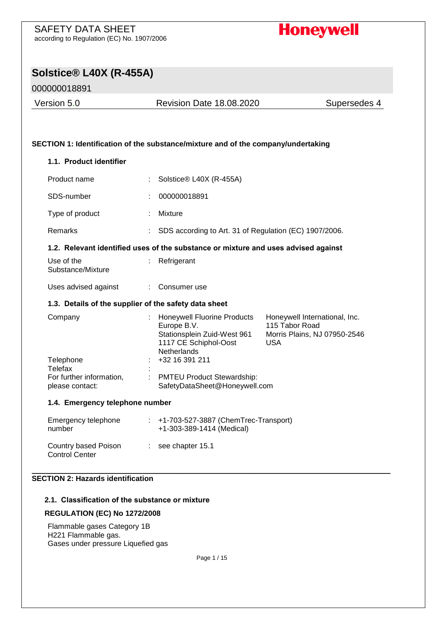# **Honeywell**

# **Solstice® L40X (R-455A)**

## 000000018891

Version 5.0 Revision Date 18.08.2020 Supersedes 4

### **SECTION 1: Identification of the substance/mixture and of the company/undertaking**

# **1.1. Product identifier** Product name : Solstice® L40X (R-455A) SDS-number : 000000018891 Type of product : Mixture

## Remarks : SDS according to Art. 31 of Regulation (EC) 1907/2006.

### **1.2. Relevant identified uses of the substance or mixture and uses advised against**

| Use of the                    | $:$ Refrigerant |
|-------------------------------|-----------------|
| Substance/Mixture             |                 |
| المماجعة والمحمار المجاهدا ال |                 |

# Uses advised against : Consumer use

#### **1.3. Details of the supplier of the safety data sheet**

| Company                  | <b>Honeywell Fluorine Products</b><br>Europe B.V.<br>Stationsplein Zuid-West 961<br>1117 CE Schiphol-Oost<br><b>Netherlands</b> | Honeywell International, Inc.<br>115 Tabor Road<br>Morris Plains, NJ 07950-2546<br><b>USA</b> |
|--------------------------|---------------------------------------------------------------------------------------------------------------------------------|-----------------------------------------------------------------------------------------------|
| Telephone                | +32 16 391 211                                                                                                                  |                                                                                               |
| Telefax                  |                                                                                                                                 |                                                                                               |
| For further information, | <b>PMTEU Product Stewardship:</b>                                                                                               |                                                                                               |
| please contact:          | SafetyDataSheet@Honeywell.com                                                                                                   |                                                                                               |

### **1.4. Emergency telephone number**

| Emergency telephone<br>number                 | $\pm$ +1-703-527-3887 (ChemTrec-Transport)<br>+1-303-389-1414 (Medical) |
|-----------------------------------------------|-------------------------------------------------------------------------|
| Country based Poison<br><b>Control Center</b> | $\therefore$ see chapter 15.1                                           |

#### \_\_\_\_\_\_\_\_\_\_\_\_\_\_\_\_\_\_\_\_\_\_\_\_\_\_\_\_\_\_\_\_\_\_\_\_\_\_\_\_\_\_\_\_\_\_\_\_\_\_\_\_\_\_\_\_\_\_\_\_\_\_\_\_\_\_\_\_\_\_\_\_\_\_\_\_\_\_\_\_\_\_\_\_\_\_\_\_\_\_\_\_\_\_\_\_\_\_\_\_\_\_\_\_\_\_\_\_\_\_\_\_\_\_\_\_\_\_\_\_ **SECTION 2: Hazards identification**

#### **2.1. Classification of the substance or mixture**

#### **REGULATION (EC) No 1272/2008**

Flammable gases Category 1B H221 Flammable gas. Gases under pressure Liquefied gas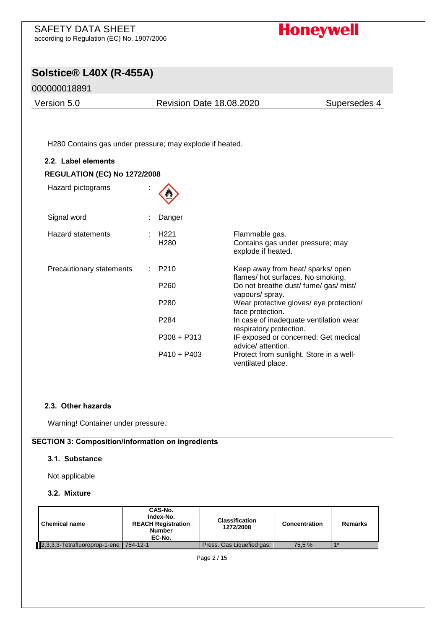# **Honeywell**

# **Solstice® L40X (R-455A)**

## 000000018891

Version 5.0 Revision Date 18.08.2020 Supersedes 4

H280 Contains gas under pressure; may explode if heated.

| 2.2. Label elements                 |                                              |               |                                                                                                                                                                              |
|-------------------------------------|----------------------------------------------|---------------|------------------------------------------------------------------------------------------------------------------------------------------------------------------------------|
| <b>REGULATION (EC) No 1272/2008</b> |                                              |               |                                                                                                                                                                              |
| Hazard pictograms                   |                                              |               |                                                                                                                                                                              |
| Signal word                         |                                              | Danger        |                                                                                                                                                                              |
| <b>Hazard statements</b>            | H <sub>221</sub><br>H <sub>280</sub>         |               | Flammable gas.<br>Contains gas under pressure; may<br>explode if heated.                                                                                                     |
| Precautionary statements            | P210<br>P <sub>260</sub><br>P <sub>280</sub> |               | Keep away from heat/ sparks/ open<br>flames/hot surfaces. No smoking.<br>Do not breathe dust/ fume/ gas/ mist/<br>vapours/ spray.<br>Wear protective gloves/ eye protection/ |
|                                     | P <sub>284</sub>                             |               | face protection.<br>In case of inadequate ventilation wear<br>respiratory protection.                                                                                        |
|                                     |                                              | $P308 + P313$ | IF exposed or concerned: Get medical<br>advice/attention.                                                                                                                    |
|                                     |                                              | $P410 + P403$ | Protect from sunlight. Store in a well-<br>ventilated place.                                                                                                                 |

#### **2.3. Other hazards**

Warning! Container under pressure.

#### **SECTION 3: Composition/information on ingredients**

#### **3.1. Substance**

Not applicable

#### **3.2. Mixture**

| <b>Chemical name</b>                   | CAS-No.<br>Index-No.<br><b>REACH Registration</b><br><b>Number</b><br>EC-No. | <b>Classification</b><br>1272/2008 | Concentration | <b>Remarks</b> |  |  |
|----------------------------------------|------------------------------------------------------------------------------|------------------------------------|---------------|----------------|--|--|
| 2,3,3,3-Tetrafluoroprop-1-ene 754-12-1 |                                                                              | Press. Gas Liquefied gas:          | 75.5 %        | $4*$           |  |  |
| $D_{200}$ $2/15$                       |                                                                              |                                    |               |                |  |  |

Page 2 / 15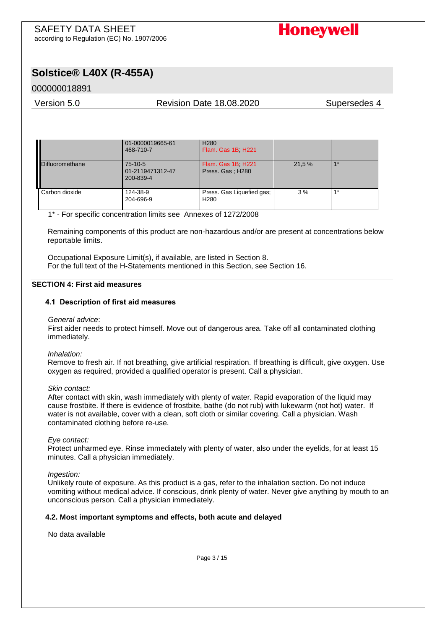

# **Solstice® L40X (R-455A)**

## 000000018891

#### Version 5.0 Revision Date 18.08.2020 Supersedes 4

|                        | 01-0000019665-61<br>468-710-7              | H <sub>280</sub><br>Flam. Gas 1B H221         |        |      |
|------------------------|--------------------------------------------|-----------------------------------------------|--------|------|
| <b>Difluoromethane</b> | $75-10-5$<br>01-2119471312-47<br>200-839-4 | Flam. Gas 1B H221<br>Press. Gas; H280         | 21.5 % | $4*$ |
| Carbon dioxide         | 124-38-9<br>204-696-9                      | Press. Gas Liquefied gas;<br>H <sub>280</sub> | 3%     | $4*$ |

1\* - For specific concentration limits see Annexes of 1272/2008

Remaining components of this product are non-hazardous and/or are present at concentrations below reportable limits.

Occupational Exposure Limit(s), if available, are listed in Section 8. For the full text of the H-Statements mentioned in this Section, see Section 16.

#### **SECTION 4: First aid measures**

#### **4.1 Description of first aid measures**

#### *General advice*:

First aider needs to protect himself. Move out of dangerous area. Take off all contaminated clothing immediately.

#### *Inhalation:*

Remove to fresh air. If not breathing, give artificial respiration. If breathing is difficult, give oxygen. Use oxygen as required, provided a qualified operator is present. Call a physician.

#### *Skin contact:*

After contact with skin, wash immediately with plenty of water. Rapid evaporation of the liquid may cause frostbite. If there is evidence of frostbite, bathe (do not rub) with lukewarm (not hot) water. If water is not available, cover with a clean, soft cloth or similar covering. Call a physician. Wash contaminated clothing before re-use.

#### *Eye contact:*

Protect unharmed eye. Rinse immediately with plenty of water, also under the eyelids, for at least 15 minutes. Call a physician immediately.

#### *Ingestion:*

Unlikely route of exposure. As this product is a gas, refer to the inhalation section. Do not induce vomiting without medical advice. If conscious, drink plenty of water. Never give anything by mouth to an unconscious person. Call a physician immediately.

#### **4.2. Most important symptoms and effects, both acute and delayed**

No data available

Page 3 / 15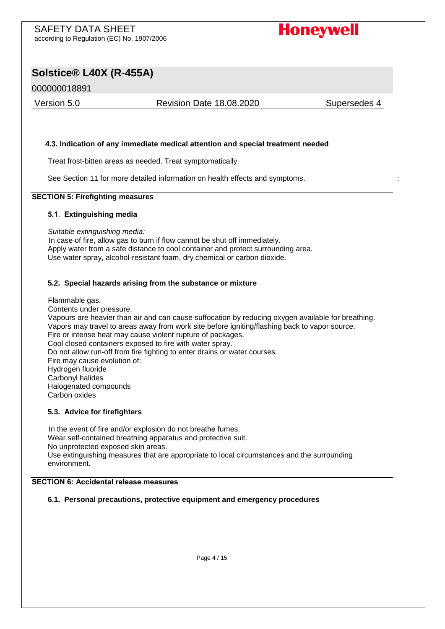

# **Solstice® L40X (R-455A)**

## 000000018891

Version 5.0 Revision Date 18.08.2020 Supersedes 4

#### **4.3. Indication of any immediate medical attention and special treatment needed**

Treat frost-bitten areas as needed. Treat symptomatically.

See Section 11 for more detailed information on health effects and symptoms. :

#### **SECTION 5: Firefighting measures**

#### **5.1. Extinguishing media**

*Suitable extinguishing media:* 

In case of fire, allow gas to burn if flow cannot be shut off immediately. Apply water from a safe distance to cool container and protect surrounding area. Use water spray, alcohol-resistant foam, dry chemical or carbon dioxide.

#### **5.2. Special hazards arising from the substance or mixture**

Flammable gas.

Contents under pressure.

Vapours are heavier than air and can cause suffocation by reducing oxygen available for breathing. Vapors may travel to areas away from work site before igniting/flashing back to vapor source. Fire or intense heat may cause violent rupture of packages. Cool closed containers exposed to fire with water spray. Do not allow run-off from fire fighting to enter drains or water courses. Fire may cause evolution of: Hydrogen fluoride Carbonyl halides Halogenated compounds Carbon oxides

#### **5.3. Advice for firefighters**

In the event of fire and/or explosion do not breathe fumes. Wear self-contained breathing apparatus and protective suit. No unprotected exposed skin areas. Use extinguishing measures that are appropriate to local circumstances and the surrounding environment.

#### **SECTION 6: Accidental release measures**

#### **6.1. Personal precautions, protective equipment and emergency procedures**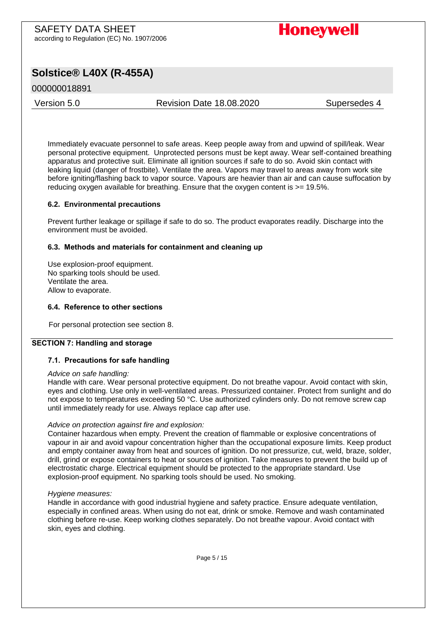# **Honeywell**

# **Solstice® L40X (R-455A)**

## 000000018891

Version 5.0 Revision Date 18.08.2020 Supersedes 4

Immediately evacuate personnel to safe areas. Keep people away from and upwind of spill/leak. Wear personal protective equipment. Unprotected persons must be kept away. Wear self-contained breathing apparatus and protective suit. Eliminate all ignition sources if safe to do so. Avoid skin contact with leaking liquid (danger of frostbite). Ventilate the area. Vapors may travel to areas away from work site before igniting/flashing back to vapor source. Vapours are heavier than air and can cause suffocation by reducing oxygen available for breathing. Ensure that the oxygen content is  $\geq$ = 19.5%.

#### **6.2. Environmental precautions**

Prevent further leakage or spillage if safe to do so. The product evaporates readily. Discharge into the environment must be avoided.

#### **6.3. Methods and materials for containment and cleaning up**

Use explosion-proof equipment. No sparking tools should be used. Ventilate the area. Allow to evaporate.

#### **6.4. Reference to other sections**

For personal protection see section 8.

#### **SECTION 7: Handling and storage**

#### **7.1. Precautions for safe handling**

#### *Advice on safe handling:*

Handle with care. Wear personal protective equipment. Do not breathe vapour. Avoid contact with skin, eyes and clothing. Use only in well-ventilated areas. Pressurized container. Protect from sunlight and do not expose to temperatures exceeding 50 °C. Use authorized cylinders only. Do not remove screw cap until immediately ready for use. Always replace cap after use.

#### *Advice on protection against fire and explosion:*

Container hazardous when empty. Prevent the creation of flammable or explosive concentrations of vapour in air and avoid vapour concentration higher than the occupational exposure limits. Keep product and empty container away from heat and sources of ignition. Do not pressurize, cut, weld, braze, solder, drill, grind or expose containers to heat or sources of ignition. Take measures to prevent the build up of electrostatic charge. Electrical equipment should be protected to the appropriate standard. Use explosion-proof equipment. No sparking tools should be used. No smoking.

#### *Hygiene measures:*

Handle in accordance with good industrial hygiene and safety practice. Ensure adequate ventilation, especially in confined areas. When using do not eat, drink or smoke. Remove and wash contaminated clothing before re-use. Keep working clothes separately. Do not breathe vapour. Avoid contact with skin, eyes and clothing.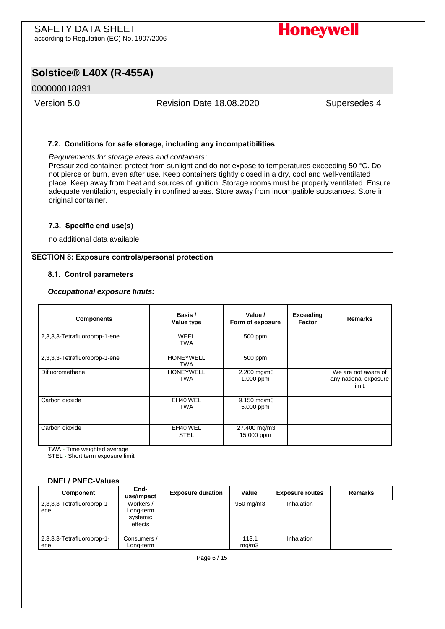# **Honeywell**

# **Solstice® L40X (R-455A)**

### 000000018891

Version 5.0 Revision Date 18.08.2020 Supersedes 4

#### **7.2. Conditions for safe storage, including any incompatibilities**

*Requirements for storage areas and containers:* 

Pressurized container: protect from sunlight and do not expose to temperatures exceeding 50 °C. Do not pierce or burn, even after use. Keep containers tightly closed in a dry, cool and well-ventilated place. Keep away from heat and sources of ignition. Storage rooms must be properly ventilated. Ensure adequate ventilation, especially in confined areas. Store away from incompatible substances. Store in original container.

#### **7.3. Specific end use(s)**

no additional data available

#### **SECTION 8: Exposure controls/personal protection**

#### **8.1. Control parameters**

#### *Occupational exposure limits:*

| <b>Components</b>             | Basis /<br>Value type          | Value /<br>Form of exposure         | Exceeding<br>Factor | <b>Remarks</b>                                         |
|-------------------------------|--------------------------------|-------------------------------------|---------------------|--------------------------------------------------------|
| 2,3,3,3-Tetrafluoroprop-1-ene | WEEL<br><b>TWA</b>             | 500 ppm                             |                     |                                                        |
| 2,3,3,3-Tetrafluoroprop-1-ene | <b>HONEYWELL</b><br><b>TWA</b> | 500 ppm                             |                     |                                                        |
| Difluoromethane               | <b>HONEYWELL</b><br><b>TWA</b> | $2.200$ mg/m $3$<br>1.000 ppm       |                     | We are not aware of<br>any national exposure<br>limit. |
| Carbon dioxide                | EH40 WEL<br><b>TWA</b>         | $9.150 \text{ mg/m}$ 3<br>5.000 ppm |                     |                                                        |
| Carbon dioxide                | EH40 WEL<br><b>STEL</b>        | 27.400 mg/m3<br>15.000 ppm          |                     |                                                        |

TWA - Time weighted average

STEL - Short term exposure limit

#### **DNEL/ PNEC-Values**

| Component                         | End-<br>use/impact                            | <b>Exposure duration</b> | Value          | <b>Exposure routes</b> | <b>Remarks</b> |
|-----------------------------------|-----------------------------------------------|--------------------------|----------------|------------------------|----------------|
| 2,3,3,3-Tetrafluoroprop-1-<br>ene | Workers /<br>Long-term<br>systemic<br>effects |                          | 950 mg/m3      | Inhalation             |                |
| 2,3,3,3-Tetrafluoroprop-1-<br>ene | Consumers /<br>Long-term                      |                          | 113.1<br>mq/m3 | Inhalation             |                |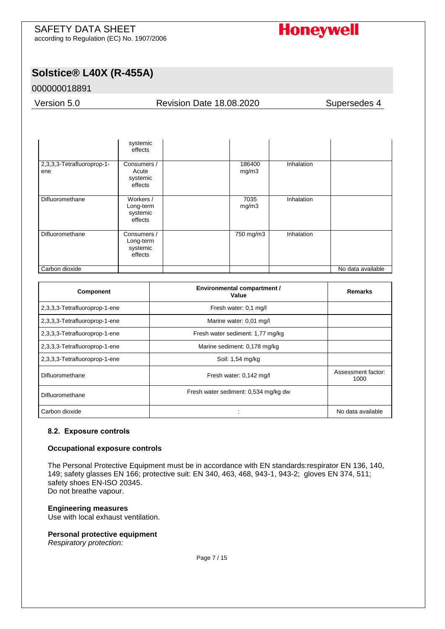

# **Solstice® L40X (R-455A)**

## 000000018891

Version 5.0 Revision Date 18.08.2020 Supersedes 4

|                                   | systemic<br>effects                             |                 |                   |                   |
|-----------------------------------|-------------------------------------------------|-----------------|-------------------|-------------------|
| 2,3,3,3-Tetrafluoroprop-1-<br>ene | Consumers /<br>Acute<br>systemic<br>effects     | 186400<br>mg/m3 | <b>Inhalation</b> |                   |
| Difluoromethane                   | Workers /<br>Long-term<br>systemic<br>effects   | 7035<br>mg/m3   | Inhalation        |                   |
| Difluoromethane                   | Consumers /<br>Long-term<br>systemic<br>effects | 750 mg/m3       | Inhalation        |                   |
| Carbon dioxide                    |                                                 |                 |                   | No data available |

| Component                     | <b>Environmental compartment /</b><br>Value | Remarks                    |
|-------------------------------|---------------------------------------------|----------------------------|
| 2,3,3,3-Tetrafluoroprop-1-ene | Fresh water: 0.1 mg/l                       |                            |
| 2,3,3,3-Tetrafluoroprop-1-ene | Marine water: 0,01 mg/l                     |                            |
| 2,3,3,3-Tetrafluoroprop-1-ene | Fresh water sediment: 1,77 mg/kg            |                            |
| 2,3,3,3-Tetrafluoroprop-1-ene | Marine sediment: 0,178 mg/kg                |                            |
| 2,3,3,3-Tetrafluoroprop-1-ene | Soil: 1,54 mg/kg                            |                            |
| Difluoromethane               | Fresh water: 0,142 mg/l                     | Assessment factor:<br>1000 |
| Difluoromethane               | Fresh water sediment: 0,534 mg/kg dw        |                            |
| Carbon dioxide                |                                             | No data available          |

#### **8.2. Exposure controls**

#### **Occupational exposure controls**

The Personal Protective Equipment must be in accordance with EN standards:respirator EN 136, 140, 149; safety glasses EN 166; protective suit: EN 340, 463, 468, 943-1, 943-2; gloves EN 374, 511; safety shoes EN-ISO 20345. Do not breathe vapour.

#### **Engineering measures**

Use with local exhaust ventilation.

#### **Personal protective equipment**

*Respiratory protection:*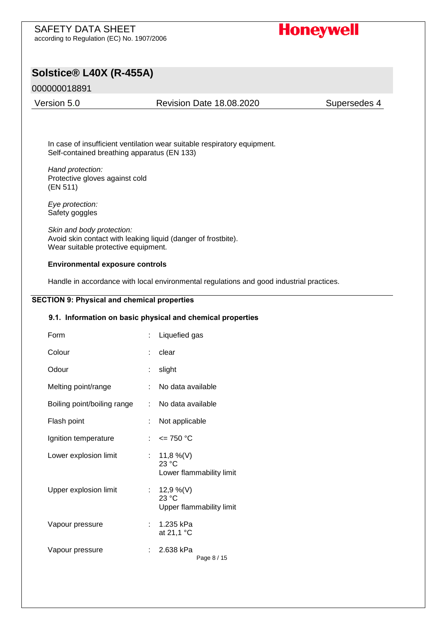# **Honeywell**

## **Solstice® L40X (R-455A)**

### 000000018891

#### Version 5.0 Revision Date 18.08.2020 Supersedes 4

In case of insufficient ventilation wear suitable respiratory equipment. Self-contained breathing apparatus (EN 133)

*Hand protection:*  Protective gloves against cold (EN 511)

*Eye protection:*  Safety goggles

*Skin and body protection:*  Avoid skin contact with leaking liquid (danger of frostbite). Wear suitable protective equipment.

#### **Environmental exposure controls**

Handle in accordance with local environmental regulations and good industrial practices.

#### **SECTION 9: Physical and chemical properties**

### **9.1. Information on basic physical and chemical properties**

| Form                        | : Liquefied gas                                  |
|-----------------------------|--------------------------------------------------|
| Colour                      | clear                                            |
| Odour                       | slight                                           |
| Melting point/range         | No data available                                |
| Boiling point/boiling range | : No data available                              |
| Flash point                 | Not applicable                                   |
| Ignition temperature        | : $\leq$ 750 °C                                  |
| Lower explosion limit       | : 11,8 %(V)<br>23 °C<br>Lower flammability limit |
| Upper explosion limit       | : 12,9 %(V)<br>23 °C<br>Upper flammability limit |
| Vapour pressure             | 1.235 kPa<br>at 21,1 °C                          |
| Vapour pressure             | 2.638 kPa<br>Page 8 / 15                         |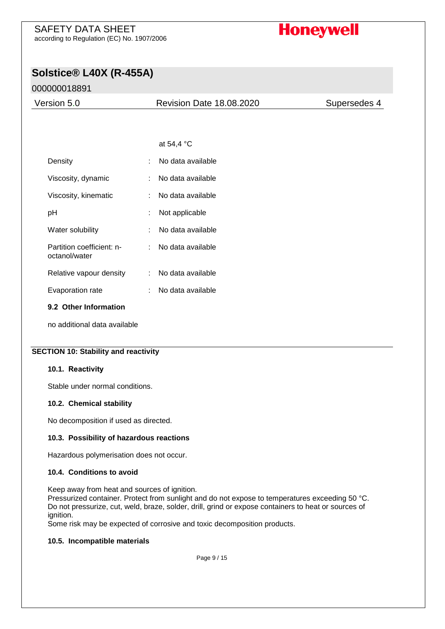# **Honeywell**

# **Solstice® L40X (R-455A)**

## 000000018891

| Version 5.0 | <b>Revision Date 18.08.2020</b> | Supersedes 4 |
|-------------|---------------------------------|--------------|
|             |                                 |              |
|             |                                 |              |
|             | at 54,4 °C                      |              |

| Density                                    |     | No data available |
|--------------------------------------------|-----|-------------------|
| Viscosity, dynamic                         | × 1 | No data available |
| Viscosity, kinematic                       |     | No data available |
| рH                                         |     | Not applicable    |
| Water solubility                           |     | No data available |
| Partition coefficient: n-<br>octanol/water |     | No data available |
| Relative vapour density                    |     | No data available |
| Evaporation rate                           |     | No data available |
| 9.2 Other Information                      |     |                   |

no additional data available

#### **SECTION 10: Stability and reactivity**

#### **10.1. Reactivity**

Stable under normal conditions.

#### **10.2. Chemical stability**

No decomposition if used as directed.

#### **10.3. Possibility of hazardous reactions**

Hazardous polymerisation does not occur.

#### **10.4. Conditions to avoid**

Keep away from heat and sources of ignition. Pressurized container. Protect from sunlight and do not expose to temperatures exceeding 50 °C. Do not pressurize, cut, weld, braze, solder, drill, grind or expose containers to heat or sources of ignition.

Some risk may be expected of corrosive and toxic decomposition products.

#### **10.5. Incompatible materials**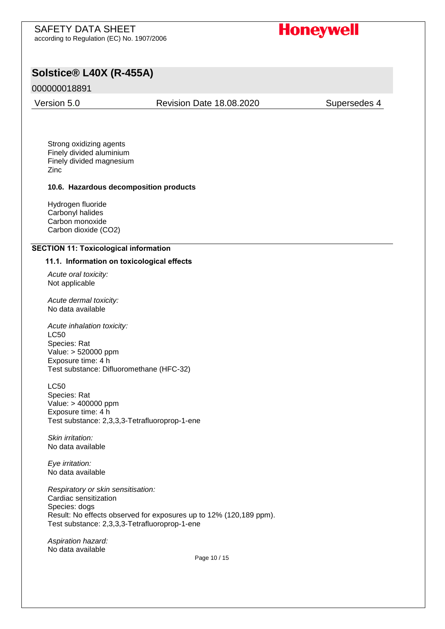# **Honeywell**

## **Solstice® L40X (R-455A)**

### 000000018891

Version 5.0 Revision Date 18.08.2020 Supersedes 4

Strong oxidizing agents Finely divided aluminium Finely divided magnesium Zinc

#### **10.6. Hazardous decomposition products**

Hydrogen fluoride Carbonyl halides Carbon monoxide Carbon dioxide (CO2)

#### **SECTION 11: Toxicological information**

#### **11.1. Information on toxicological effects**

*Acute oral toxicity:*  Not applicable

*Acute dermal toxicity:*  No data available

*Acute inhalation toxicity:*  LC50 Species: Rat Value: > 520000 ppm Exposure time: 4 h Test substance: Difluoromethane (HFC-32)

LC50 Species: Rat Value: > 400000 ppm Exposure time: 4 h Test substance: 2,3,3,3-Tetrafluoroprop-1-ene

*Skin irritation:*  No data available

*Eye irritation:*  No data available

*Respiratory or skin sensitisation:*  Cardiac sensitization Species: dogs Result: No effects observed for exposures up to 12% (120,189 ppm). Test substance: 2,3,3,3-Tetrafluoroprop-1-ene

*Aspiration hazard:* No data available

Page 10 / 15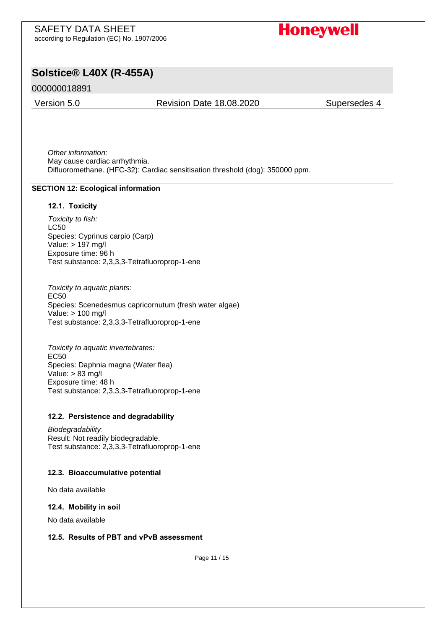# **Honeywell**

# **Solstice® L40X (R-455A)**

## 000000018891

#### Version 5.0 Revision Date 18.08.2020 Supersedes 4

*Other information:*  May cause cardiac arrhythmia. Difluoromethane. (HFC-32): Cardiac sensitisation threshold (dog): 350000 ppm.

#### **SECTION 12: Ecological information**

#### **12.1. Toxicity**

*Toxicity to fish:*  LC50 Species: Cyprinus carpio (Carp) Value: > 197 mg/l Exposure time: 96 h Test substance: 2,3,3,3-Tetrafluoroprop-1-ene

*Toxicity to aquatic plants:*  EC50 Species: Scenedesmus capricornutum (fresh water algae) Value: > 100 mg/l Test substance: 2,3,3,3-Tetrafluoroprop-1-ene

*Toxicity to aquatic invertebrates:*  EC50 Species: Daphnia magna (Water flea) Value: > 83 mg/l Exposure time: 48 h Test substance: 2,3,3,3-Tetrafluoroprop-1-ene

#### **12.2. Persistence and degradability**

*Biodegradability*: Result: Not readily biodegradable. Test substance: 2,3,3,3-Tetrafluoroprop-1-ene

#### **12.3. Bioaccumulative potential**

No data available

#### **12.4. Mobility in soil**

No data available

#### **12.5. Results of PBT and vPvB assessment**

Page 11 / 15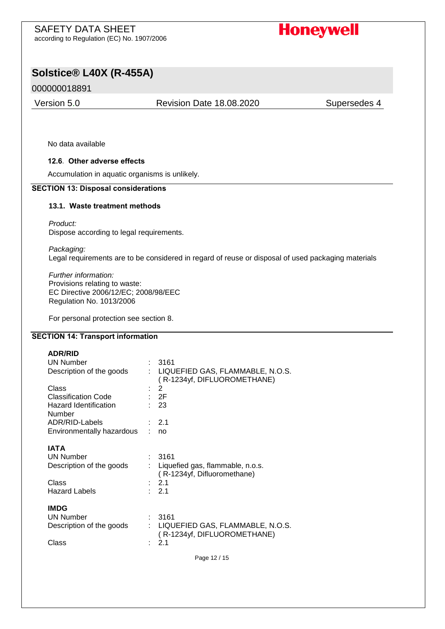**Honeywell** 

# **Solstice® L40X (R-455A)**

### 000000018891

Version 5.0 Revision Date 18.08.2020 Supersedes 4

No data available

#### **12.6. Other adverse effects**

Accumulation in aquatic organisms is unlikely.

#### **SECTION 13: Disposal considerations**

#### **13.1. Waste treatment methods**

*Product:* 

Dispose according to legal requirements.

*Packaging:* 

Legal requirements are to be considered in regard of reuse or disposal of used packaging materials

*Further information:*  Provisions relating to waste: EC Directive 2006/12/EC; 2008/98/EEC Regulation No. 1013/2006

For personal protection see section 8.

#### **SECTION 14: Transport information**

| <b>ADR/RID</b>             |                                                                   |
|----------------------------|-------------------------------------------------------------------|
| <b>UN Number</b>           | 3161                                                              |
| Description of the goods   | : LIQUEFIED GAS, FLAMMABLE, N.O.S.<br>(R-1234yf, DIFLUOROMETHANE) |
| Class                      | 2                                                                 |
| <b>Classification Code</b> | : 2F                                                              |
| Hazard Identification      | : 23                                                              |
| Number                     |                                                                   |
| ADR/RID-Labels             | : 2.1                                                             |
| Environmentally hazardous  | no                                                                |
|                            |                                                                   |
| <b>IATA</b>                |                                                                   |
| <b>UN Number</b>           | 3161                                                              |
| Description of the goods   | Liquefied gas, flammable, n.o.s.                                  |
|                            | (R-1234yf, Difluoromethane)                                       |
| Class                      | : 2.1                                                             |
| <b>Hazard Labels</b>       | $\therefore$ 2.1                                                  |
|                            |                                                                   |
| <b>IMDG</b>                |                                                                   |
| <b>UN Number</b>           | 3161                                                              |
| Description of the goods   | LIQUEFIED GAS, FLAMMABLE, N.O.S.                                  |
|                            | (R-1234yf, DIFLUOROMETHANE)                                       |
| Class                      | 2.1                                                               |
|                            |                                                                   |
|                            | Page 12 / 15                                                      |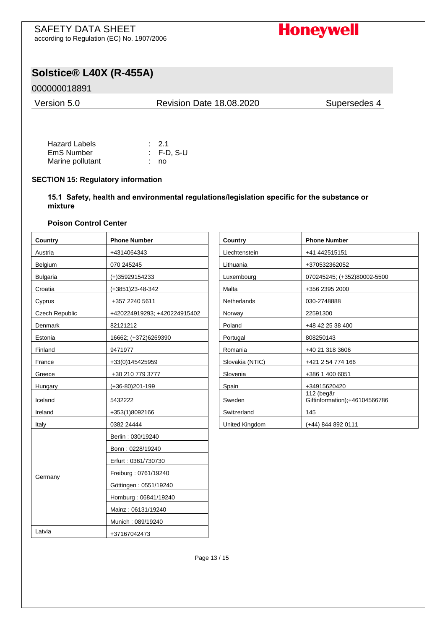# **Honeywell**

# **Solstice® L40X (R-455A)**

## 000000018891

| Version 5.0 | <b>Revision Date 18.08.2020</b> | Supersedes 4 |  |
|-------------|---------------------------------|--------------|--|
|             |                                 |              |  |

| <b>Hazard Labels</b> | $\therefore$ 2.1      |
|----------------------|-----------------------|
| EmS Number           | $\therefore$ F-D, S-U |
| Marine pollutant     | : no                  |

### **SECTION 15: Regulatory information**

**15.1 Safety, health and environmental regulations/legislation specific for the substance or mixture**

### **Poison Control Center**

| Country               | <b>Phone Number</b>          | Country         | <b>Phone Number</b>                         |
|-----------------------|------------------------------|-----------------|---------------------------------------------|
| Austria               | +4314064343                  | Liechtenstein   | +41 442515151                               |
| Belgium               | 070 245245                   | Lithuania       | +370532362052                               |
| <b>Bulgaria</b>       | (+)35929154233               | Luxembourg      | 070245245; (+352)80002-5500                 |
| Croatia               | (+3851)23-48-342             | Malta           | +356 2395 2000                              |
| Cyprus                | +357 2240 5611               | Netherlands     | 030-2748888                                 |
| <b>Czech Republic</b> | +420224919293; +420224915402 | Norway          | 22591300                                    |
| Denmark               | 82121212                     | Poland          | +48 42 25 38 400                            |
| Estonia               | 16662; (+372)6269390         | Portugal        | 808250143                                   |
| Finland               | 9471977                      | Romania         | +40 21 318 3606                             |
| France                | +33(0)145425959              | Slovakia (NTIC) | +421 2 54 774 166                           |
| Greece                | +30 210 779 3777             | Slovenia        | +386 1 400 6051                             |
| Hungary               | (+36-80)201-199              | Spain           | +34915620420                                |
| Iceland               | 5432222                      | Sweden          | 112 (begär<br>Giftinformation);+46104566786 |
| Ireland               | +353(1)8092166               | Switzerland     | 145                                         |
| Italy                 | 0382 24444                   | United Kingdom  | $(+44)$ 844 892 0111                        |
|                       | Berlin: 030/19240            |                 |                                             |
|                       | Bonn: 0228/19240             |                 |                                             |
|                       | Erfurt: 0361/730730          |                 |                                             |
| Germany               | Freiburg: 0761/19240         |                 |                                             |
|                       | Göttingen: 0551/19240        |                 |                                             |
|                       | Homburg: 06841/19240         |                 |                                             |
|                       | Mainz: 06131/19240           |                 |                                             |
|                       | Munich: 089/19240            |                 |                                             |
| Latvia                | +37167042473                 |                 |                                             |

| Country         | <b>Phone Number</b>                         |
|-----------------|---------------------------------------------|
| Liechtenstein   | +41 442515151                               |
| Lithuania       | +370532362052                               |
| Luxembourg      | 070245245; (+352)80002-5500                 |
| Malta           | +356 2395 2000                              |
| Netherlands     | 030-2748888                                 |
| Norway          | 22591300                                    |
| Poland          | +48 42 25 38 400                            |
| Portugal        | 808250143                                   |
| Romania         | +40 21 318 3606                             |
| Slovakia (NTIC) | +421 2 54 774 166                           |
| Slovenia        | +386 1 400 6051                             |
| Spain           | +34915620420                                |
| Sweden          | 112 (begär<br>Giftinformation);+46104566786 |
| Switzerland     | 145                                         |
| United Kingdom  | (+44) 844 892 0111                          |

Page 13 / 15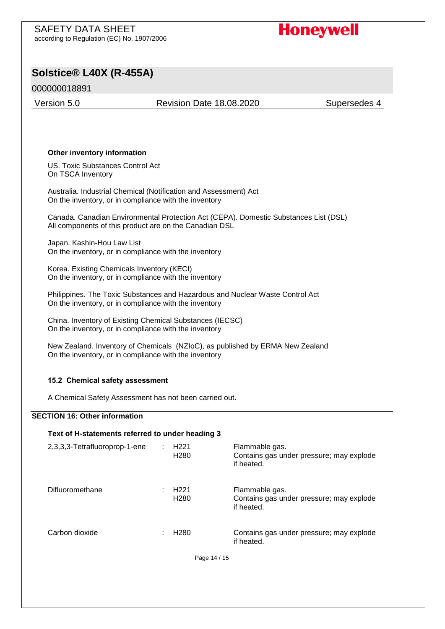# **Honeywell**

# **Solstice® L40X (R-455A)**

## 000000018891

Version 5.0 Revision Date 18.08.2020 Supersedes 4

#### **Other inventory information**

US. Toxic Substances Control Act On TSCA Inventory

Australia. Industrial Chemical (Notification and Assessment) Act On the inventory, or in compliance with the inventory

Canada. Canadian Environmental Protection Act (CEPA). Domestic Substances List (DSL) All components of this product are on the Canadian DSL

Japan. Kashin-Hou Law List On the inventory, or in compliance with the inventory

Korea. Existing Chemicals Inventory (KECI) On the inventory, or in compliance with the inventory

Philippines. The Toxic Substances and Hazardous and Nuclear Waste Control Act On the inventory, or in compliance with the inventory

China. Inventory of Existing Chemical Substances (IECSC) On the inventory, or in compliance with the inventory

New Zealand. Inventory of Chemicals (NZIoC), as published by ERMA New Zealand On the inventory, or in compliance with the inventory

#### **15.2 Chemical safety assessment**

A Chemical Safety Assessment has not been carried out.

#### **SECTION 16: Other information**

| Text of H-statements referred to under heading 3 |  |                                      |                                                                          |
|--------------------------------------------------|--|--------------------------------------|--------------------------------------------------------------------------|
| 2,3,3,3-Tetrafluoroprop-1-ene                    |  | H <sub>221</sub><br>H <sub>280</sub> | Flammable gas.<br>Contains gas under pressure; may explode<br>if heated. |
| Difluoromethane                                  |  | H <sub>221</sub><br>H <sub>280</sub> | Flammable gas.<br>Contains gas under pressure; may explode<br>if heated. |
| Carbon dioxide                                   |  | H <sub>280</sub>                     | Contains gas under pressure; may explode<br>if heated.                   |
|                                                  |  | Page 14 / 15                         |                                                                          |